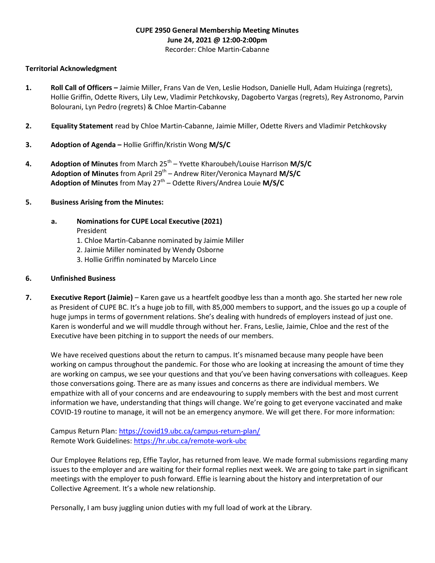# CUPE 2950 General Membership Meeting Minutes June 24, 2021 @ 12:00-2:00pm

# Recorder: Chloe Martin-Cabanne

## Territorial Acknowledgment

- 1. Roll Call of Officers Jaimie Miller, Frans Van de Ven, Leslie Hodson, Danielle Hull, Adam Huizinga (regrets), Hollie Griffin, Odette Rivers, Lily Lew, Vladimir Petchkovsky, Dagoberto Vargas (regrets), Rey Astronomo, Parvin Bolourani, Lyn Pedro (regrets) & Chloe Martin-Cabanne
- 2. Equality Statement read by Chloe Martin-Cabanne, Jaimie Miller, Odette Rivers and Vladimir Petchkovsky
- 3. Adoption of Agenda Hollie Griffin/Kristin Wong M/S/C
- 4. Adoption of Minutes from March  $25<sup>th</sup>$  Yvette Kharoubeh/Louise Harrison M/S/C Adoption of Minutes from April 29<sup>th</sup> – Andrew Riter/Veronica Maynard M/S/C Adoption of Minutes from May  $27<sup>th</sup>$  – Odette Rivers/Andrea Louie M/S/C
- 5. Business Arising from the Minutes:
	- a. Nominations for CUPE Local Executive (2021)
		- President
		- 1. Chloe Martin-Cabanne nominated by Jaimie Miller
		- 2. Jaimie Miller nominated by Wendy Osborne
		- 3. Hollie Griffin nominated by Marcelo Lince

### 6. Unfinished Business

7. Executive Report (Jaimie) – Karen gave us a heartfelt goodbye less than a month ago. She started her new role as President of CUPE BC. It's a huge job to fill, with 85,000 members to support, and the issues go up a couple of huge jumps in terms of government relations. She's dealing with hundreds of employers instead of just one. Karen is wonderful and we will muddle through without her. Frans, Leslie, Jaimie, Chloe and the rest of the Executive have been pitching in to support the needs of our members.

We have received questions about the return to campus. It's misnamed because many people have been working on campus throughout the pandemic. For those who are looking at increasing the amount of time they are working on campus, we see your questions and that you've been having conversations with colleagues. Keep those conversations going. There are as many issues and concerns as there are individual members. We empathize with all of your concerns and are endeavouring to supply members with the best and most current information we have, understanding that things will change. We're going to get everyone vaccinated and make COVID-19 routine to manage, it will not be an emergency anymore. We will get there. For more information:

Campus Return Plan: https://covid19.ubc.ca/campus-return-plan/ Remote Work Guidelines: https://hr.ubc.ca/remote-work-ubc

Our Employee Relations rep, Effie Taylor, has returned from leave. We made formal submissions regarding many issues to the employer and are waiting for their formal replies next week. We are going to take part in significant meetings with the employer to push forward. Effie is learning about the history and interpretation of our Collective Agreement. It's a whole new relationship.

Personally, I am busy juggling union duties with my full load of work at the Library.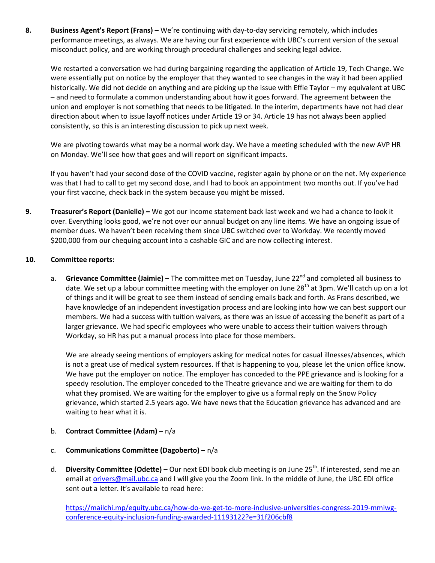8. Business Agent's Report (Frans) – We're continuing with day-to-day servicing remotely, which includes performance meetings, as always. We are having our first experience with UBC's current version of the sexual misconduct policy, and are working through procedural challenges and seeking legal advice.

We restarted a conversation we had during bargaining regarding the application of Article 19, Tech Change. We were essentially put on notice by the employer that they wanted to see changes in the way it had been applied historically. We did not decide on anything and are picking up the issue with Effie Taylor – my equivalent at UBC – and need to formulate a common understanding about how it goes forward. The agreement between the union and employer is not something that needs to be litigated. In the interim, departments have not had clear direction about when to issue layoff notices under Article 19 or 34. Article 19 has not always been applied consistently, so this is an interesting discussion to pick up next week.

We are pivoting towards what may be a normal work day. We have a meeting scheduled with the new AVP HR on Monday. We'll see how that goes and will report on significant impacts.

If you haven't had your second dose of the COVID vaccine, register again by phone or on the net. My experience was that I had to call to get my second dose, and I had to book an appointment two months out. If you've had your first vaccine, check back in the system because you might be missed.

9. Treasurer's Report (Danielle) – We got our income statement back last week and we had a chance to look it over. Everything looks good, we're not over our annual budget on any line items. We have an ongoing issue of member dues. We haven't been receiving them since UBC switched over to Workday. We recently moved \$200,000 from our chequing account into a cashable GIC and are now collecting interest.

#### 10. Committee reports:

a. Grievance Committee (Jaimie) – The committee met on Tuesday, June 22<sup>nd</sup> and completed all business to date. We set up a labour committee meeting with the employer on June 28<sup>th</sup> at 3pm. We'll catch up on a lot of things and it will be great to see them instead of sending emails back and forth. As Frans described, we have knowledge of an independent investigation process and are looking into how we can best support our members. We had a success with tuition waivers, as there was an issue of accessing the benefit as part of a larger grievance. We had specific employees who were unable to access their tuition waivers through Workday, so HR has put a manual process into place for those members.

We are already seeing mentions of employers asking for medical notes for casual illnesses/absences, which is not a great use of medical system resources. If that is happening to you, please let the union office know. We have put the employer on notice. The employer has conceded to the PPE grievance and is looking for a speedy resolution. The employer conceded to the Theatre grievance and we are waiting for them to do what they promised. We are waiting for the employer to give us a formal reply on the Snow Policy grievance, which started 2.5 years ago. We have news that the Education grievance has advanced and are waiting to hear what it is.

- b. Contract Committee (Adam) n/a
- c. Communications Committee (Dagoberto)  $n/a$
- d. Diversity Committee (Odette) Our next EDI book club meeting is on June 25<sup>th</sup>. If interested, send me an email at orivers@mail.ubc.ca and I will give you the Zoom link. In the middle of June, the UBC EDI office sent out a letter. It's available to read here:

https://mailchi.mp/equity.ubc.ca/how-do-we-get-to-more-inclusive-universities-congress-2019-mmiwgconference-equity-inclusion-funding-awarded-11193122?e=31f206cbf8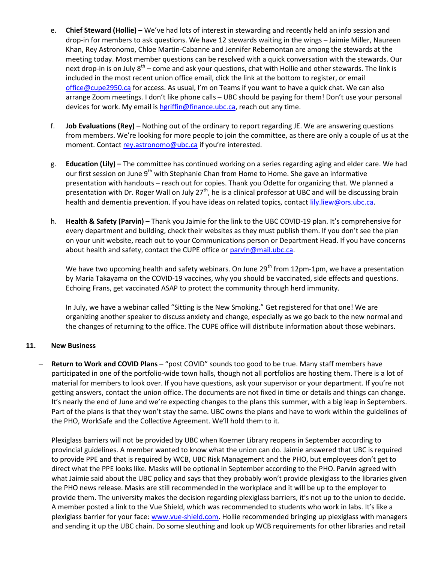- e. Chief Steward (Hollie) We've had lots of interest in stewarding and recently held an info session and drop-in for members to ask questions. We have 12 stewards waiting in the wings – Jaimie Miller, Naureen Khan, Rey Astronomo, Chloe Martin-Cabanne and Jennifer Rebemontan are among the stewards at the meeting today. Most member questions can be resolved with a quick conversation with the stewards. Our next drop-in is on July  $8^{th}$  – come and ask your questions, chat with Hollie and other stewards. The link is included in the most recent union office email, click the link at the bottom to register, or email office@cupe2950.ca for access. As usual, I'm on Teams if you want to have a quick chat. We can also arrange Zoom meetings. I don't like phone calls – UBC should be paying for them! Don't use your personal devices for work. My email is hgriffin@finance.ubc.ca, reach out any time.
- f. Job Evaluations (Rey) Nothing out of the ordinary to report regarding JE. We are answering questions from members. We're looking for more people to join the committee, as there are only a couple of us at the moment. Contact rey.astronomo@ubc.ca if you're interested.
- g. Education (Lily) The committee has continued working on a series regarding aging and elder care. We had our first session on June 9<sup>th</sup> with Stephanie Chan from Home to Home. She gave an informative presentation with handouts – reach out for copies. Thank you Odette for organizing that. We planned a presentation with Dr. Roger Wall on July  $27<sup>th</sup>$ , he is a clinical professor at UBC and will be discussing brain health and dementia prevention. If you have ideas on related topics, contact *lily.liew@ors.ubc.ca*.
- h. Health & Safety (Parvin) Thank you Jaimie for the link to the UBC COVID-19 plan. It's comprehensive for every department and building, check their websites as they must publish them. If you don't see the plan on your unit website, reach out to your Communications person or Department Head. If you have concerns about health and safety, contact the CUPE office or parvin@mail.ubc.ca.

We have two upcoming health and safety webinars. On June 29<sup>th</sup> from 12pm-1pm, we have a presentation by Maria Takayama on the COVID-19 vaccines, why you should be vaccinated, side effects and questions. Echoing Frans, get vaccinated ASAP to protect the community through herd immunity.

In July, we have a webinar called "Sitting is the New Smoking." Get registered for that one! We are organizing another speaker to discuss anxiety and change, especially as we go back to the new normal and the changes of returning to the office. The CUPE office will distribute information about those webinars.

#### 11. New Business

 Return to Work and COVID Plans – "post COVID" sounds too good to be true. Many staff members have participated in one of the portfolio-wide town halls, though not all portfolios are hosting them. There is a lot of material for members to look over. If you have questions, ask your supervisor or your department. If you're not getting answers, contact the union office. The documents are not fixed in time or details and things can change. It's nearly the end of June and we're expecting changes to the plans this summer, with a big leap in Septembers. Part of the plans is that they won't stay the same. UBC owns the plans and have to work within the guidelines of the PHO, WorkSafe and the Collective Agreement. We'll hold them to it.

Plexiglass barriers will not be provided by UBC when Koerner Library reopens in September according to provincial guidelines. A member wanted to know what the union can do. Jaimie answered that UBC is required to provide PPE and that is required by WCB, UBC Risk Management and the PHO, but employees don't get to direct what the PPE looks like. Masks will be optional in September according to the PHO. Parvin agreed with what Jaimie said about the UBC policy and says that they probably won't provide plexiglass to the libraries given the PHO news release. Masks are still recommended in the workplace and it will be up to the employer to provide them. The university makes the decision regarding plexiglass barriers, it's not up to the union to decide. A member posted a link to the Vue Shield, which was recommended to students who work in labs. It's like a plexiglass barrier for your face: www.vue-shield.com. Hollie recommended bringing up plexiglass with managers and sending it up the UBC chain. Do some sleuthing and look up WCB requirements for other libraries and retail